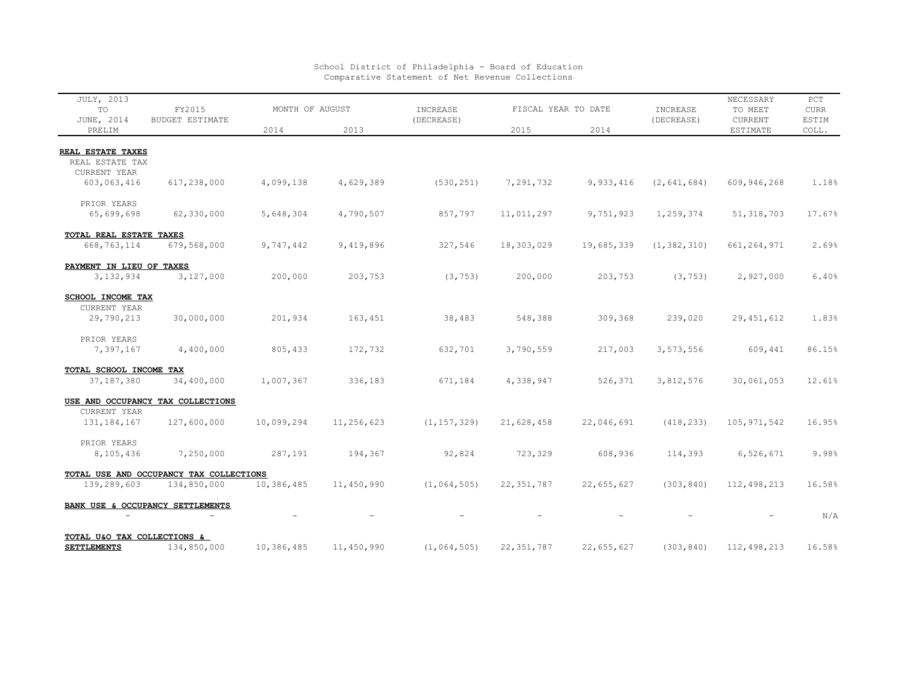| <b>JULY, 2013</b><br>TO<br>JUNE, 2014             | FY2015<br><b>BUDGET ESTIMATE</b>        | MONTH OF AUGUST |            | INCREASE<br>(DECREASE) | FISCAL YEAR TO DATE |            | INCREASE<br>(DECREASE) | NECESSARY<br>TO MEET<br><b>CURRENT</b> | PCT<br><b>CURR</b><br>ESTIM |
|---------------------------------------------------|-----------------------------------------|-----------------|------------|------------------------|---------------------|------------|------------------------|----------------------------------------|-----------------------------|
| PRELIM                                            |                                         | 2014            | 2013       |                        | 2015                | 2014       |                        | <b>ESTIMATE</b>                        | COLL.                       |
|                                                   |                                         |                 |            |                        |                     |            |                        |                                        |                             |
| REAL ESTATE TAXES<br>REAL ESTATE TAX              |                                         |                 |            |                        |                     |            |                        |                                        |                             |
| CURRENT YEAR                                      |                                         |                 |            |                        |                     |            |                        |                                        |                             |
| 603,063,416                                       | 617,238,000                             | 4,099,138       | 4,629,389  | (530, 251)             | 7,291,732           | 9,933,416  | (2, 641, 684)          | 609,946,268                            | 1.18%                       |
| PRIOR YEARS                                       |                                         |                 |            |                        |                     |            |                        |                                        |                             |
| 65,699,698                                        | 62,330,000                              | 5,648,304       | 4,790,507  | 857,797                | 11,011,297          | 9,751,923  | 1,259,374              | 51, 318, 703                           | 17.67%                      |
| TOTAL REAL ESTATE TAXES                           |                                         |                 |            |                        |                     |            |                        |                                        |                             |
| 668,763,114                                       | 679,568,000                             | 9,747,442       | 9,419,896  | 327,546                | 18,303,029          | 19,685,339 | (1, 382, 310)          | 661, 264, 971                          | 2.69%                       |
| PAYMENT IN LIEU OF TAXES                          |                                         |                 |            |                        |                     |            |                        |                                        |                             |
| 3, 132, 934                                       | 3,127,000                               | 200,000         | 203,753    | (3, 753)               | 200,000             | 203,753    | (3, 753)               | 2,927,000                              | 6.40%                       |
| SCHOOL INCOME TAX                                 |                                         |                 |            |                        |                     |            |                        |                                        |                             |
| CURRENT YEAR                                      |                                         |                 |            |                        |                     |            |                        |                                        |                             |
| 29,790,213                                        | 30,000,000                              | 201,934         | 163,451    | 38,483                 | 548,388             | 309,368    | 239,020                | 29, 451, 612                           | 1.83%                       |
| PRIOR YEARS                                       |                                         |                 |            |                        |                     |            |                        |                                        |                             |
| 7,397,167                                         | 4,400,000                               | 805,433         | 172,732    | 632,701                | 3,790,559           | 217,003    | 3,573,556              | 609,441                                | 86.15%                      |
| TOTAL SCHOOL INCOME TAX                           |                                         |                 |            |                        |                     |            |                        |                                        |                             |
| 37, 187, 380                                      | 34,400,000                              | 1,007,367       | 336,183    | 671,184                | 4,338,947           | 526,371    | 3,812,576              | 30,061,053                             | 12.61%                      |
|                                                   | USE AND OCCUPANCY TAX COLLECTIONS       |                 |            |                        |                     |            |                        |                                        |                             |
| CURRENT YEAR                                      |                                         |                 |            |                        |                     |            |                        |                                        |                             |
| 131, 184, 167                                     | 127,600,000                             | 10,099,294      | 11,256,623 | (1, 157, 329)          | 21,628,458          | 22,046,691 | (418, 233)             | 105, 971, 542                          | 16.95%                      |
| PRIOR YEARS                                       |                                         |                 |            |                        |                     |            |                        |                                        |                             |
| 8,105,436                                         | 7,250,000                               | 287,191         | 194,367    | 92,824                 | 723,329             | 608,936    | 114,393                | 6,526,671                              | 9.98%                       |
|                                                   | TOTAL USE AND OCCUPANCY TAX COLLECTIONS |                 |            |                        |                     |            |                        |                                        |                             |
| 139,289,603                                       | 134,850,000                             | 10,386,485      | 11,450,990 | (1, 064, 505)          | 22, 351, 787        | 22,655,627 | (303, 840)             | 112,498,213                            | 16.58%                      |
|                                                   | BANK USE & OCCUPANCY SETTLEMENTS        |                 |            |                        |                     |            |                        |                                        | N/A                         |
|                                                   |                                         |                 |            |                        |                     |            |                        |                                        |                             |
| TOTAL U&O TAX COLLECTIONS &<br><b>SETTLEMENTS</b> | 134,850,000                             | 10,386,485      | 11,450,990 | (1, 064, 505)          | 22, 351, 787        | 22,655,627 | (303, 840)             | 112,498,213                            | 16.58%                      |
|                                                   |                                         |                 |            |                        |                     |            |                        |                                        |                             |

## School District of Philadelphia - Board of Education Comparative Statement of Net Revenue Collections